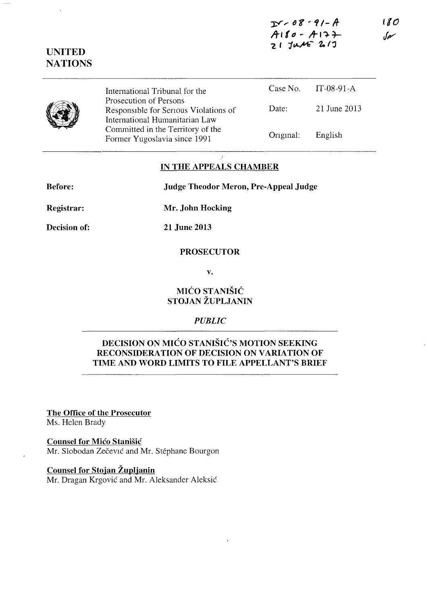**J;V" {)f '"rtl-A-** $A180 - A177$  $21$  JUM= 2.19

|  | International Tribunal for the                                                                    |           | Case No. IT-08-91-A |
|--|---------------------------------------------------------------------------------------------------|-----------|---------------------|
|  | Prosecution of Persons<br>Responsible for Serious Violations of<br>International Humanitarian Law | Date:     | 21 June 2013        |
|  | Committed in the Territory of the<br>Former Yugoslavia since 1991                                 | Original: | English             |

## **IN THE APPEALS CHAMBER**

**Before:** 

**Judge Theodor Meron, Pre-Appeal Judge** 

**Registrar:** 

**Decision of:** 

**21 June 2013** 

**Mr. John Hocking** 

#### **PROSECUTOR**

**v.** 

## **MICO STANISIC STOJAN ZUPLJANIN**

#### *PUBLIC*

# **DECISION ON MICO STANISIC'S MOTION SEEKING RECONSIDERATION OF DECISION ON VARIATION OF TIME AND WORD LIMITS TO FILE APPELLANT'S BRIEF**

**The Office of the Prosecutor** 

Ms. Helen Brady

**Counsel for Mico StaniSic**  Mr. Slobodan Zečević and Mr. Stéphane Bourgon

**Counsel for Stojan Zupljanin**  Mr. Dragan Krgovic and Mr. Aleksander Aleksic

# **UNITED NATIONS**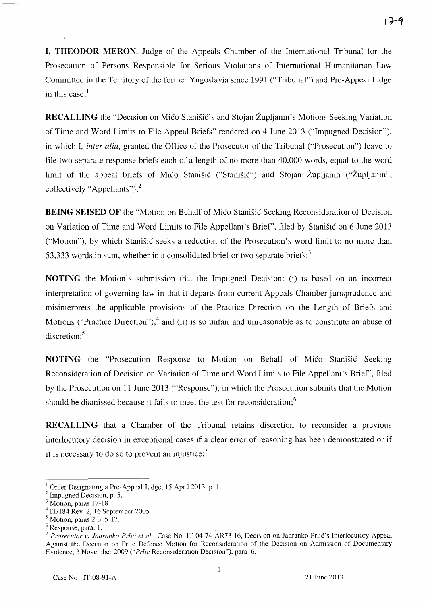**I, THEODOR MERON,** Judge of the Appeals Chamber of the International Tribunal for the Prosecution of Persons Responsible for Serious Violations of International Humanitarian Law Committed in the Territory of the former Yugoslavia since 1991 ("Tribunal") and Pre-Appeal Judge in this case; $<sup>1</sup>$ </sup>

**RECALLING** the "Decision on Mico Stanisic's and Stojan Zupljanin's Motions Seeking Variation of Time and Word Limits to File Appeal Briefs" rendered on 4 June 2013 ("Impugned Decision"), in which I. *inter alia,* granted the Office of the Prosecutor of the Tribunal ("Prosecution") leave to file two separate response briefs each of a length of no more than 40,000 words, equal to the word limit of the appeal briefs of Mico Stanisic ("Stanisic") and Stojan Župljanin ("Župljanin", collectively "Appellants"); $^{2}$ 

**BEING SEISED OF** the "Motion on Behalf of Mico Stanistic Seeking Reconsideration of Decision on Variation of Time and Word Limits to File Appellant's Brief', filed by Stanisic on 6 June 2013 ("Motion"), by which Stanišić seeks a reduction of the Prosecution's word limit to no more than 53,333 words in sum, whether in a consolidated brief or two separate briefs;<sup>3</sup>

**NOTING** the Motion's submission that the Impugned Decision: (i) is based on an incorrect interpretation of governing law in that it departs from current Appeals Chamber junsprudence and misinterprets the applicable provisions of the Practice Direction on the Length of Briefs and Motions ("Practice Direction");<sup>4</sup> and (ii) is so unfair and unreasonable as to constitute an abuse of discretion:<sup>5</sup>

**NOTING** the "Prosecution Response to Motion on Behalf of Mico Stanisic Seeking Reconsideration of Decision on Variation of Time and Word Limits to File Appellant's Brief', filed by the Prosecution on **11** June 2013 ("Response"), in which the Prosecution submits that the Motion should be dismissed because it fails to meet the test for reconsideration; $<sup>6</sup>$ </sup>

**RECALLING** that a Chamber of the Tribunal retains discretion to reconsider a previous interlocutory decision in exceptional cases if a clear error of reasoning has been demonstrated or if it is necessary to do so to prevent an injustice;<sup>7</sup>

Order Designating a Pre-Appeal Judge, 15 April 2013, p 1

<sup>&</sup>lt;sup>2</sup> Impugned Decision, p. 5.

 $3$  Motion, paras 17-18

<sup>4</sup> IT/184 Rev 2, 16 September 2005

 $<sup>5</sup>$  Motion, paras 2-3, 5-17.</sup>

<sup>6</sup> Response, para. 1.

<sup>&</sup>lt;sup>7</sup> Prosecutor v. Jadranko Prlić et al, Case No IT-04-74-AR73 16, Decision on Jadranko Prlić's Interlocutory Appeal Against the Decision on Prhé Defence Motion for Reconsideration of the Decision on Admission of Documentary Evidence, 3 November 2009 *("Prlić* Reconsideration Decision"), para 6.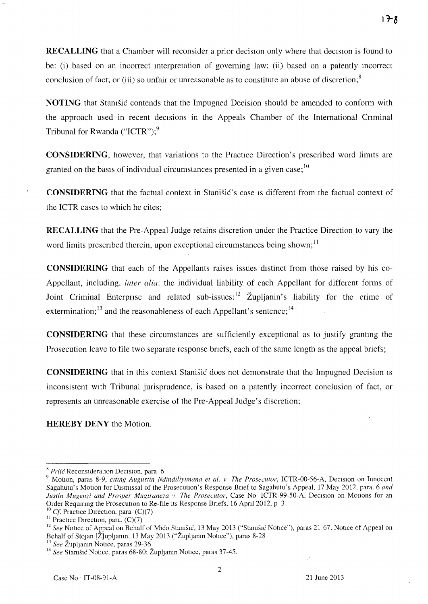**RECALLING** that a Chamber will reconsider a prior decision only where that decision is found to be: (i) based on an incorrect interpretation of governing law; (ii) based on a patently incorrect conclusion of fact; or (iii) so unfair or unreasonable as to constitute an abuse of discretion;<sup>8</sup>

**NOTING** that Stamsic contends that the Impugned Decision should be amended to conform with the approach used in recent decisions in the Appeals Chamber of the International Criminal Tribunal for Rwanda ("ICTR"); $^{9}$ 

**CONSIDERING**, however, that variations to the Practice Direction's prescribed word limits are granted on the basis of individual circumstances presented in a given case;  $^{10}$ 

**CONSIDERING** that the factual context in Stanistic's case is different from the factual context of the ICTR cases to which he cites;

**RECALLING** that the Pre-Appeal Judge retains discretion under the Practice Direction to vary the word limits prescribed therein, upon exceptional circumstances being shown;  $11$ 

**CONSIDERING** that each of the Appellants raises issues distinct from those raised by his co-Appellant, including. *inter alia:* the individual liability of each Appellant for different forms of Joint Criminal Enterprise and related sub-issues;  $\frac{12}{2}$  Zupljanin's liability for the crime of extermination;<sup>13</sup> and the reasonableness of each Appellant's sentence;<sup>14</sup>

**CONSIDERING** that these circumstances are sufficiently exceptional as to justify granting the Prosecution leave to file two separate response briefs, each of the same length as the appeal briefs;

**CONSIDERING** that in this context Stanisic does not demonstrate that the Impugned Decision IS inconsistent WIth Tribunal jurisprudence, is based on a patently incorrect conclusion of fact, or represents an unreasonable exercise of the Pre-Appeal Judge's discretion:

**HEREBY DENY** the Motion.

<sup>&</sup>lt;sup>8</sup> Prlic Reconsideration Decision, para 6

<sup>&</sup>lt;sup>9</sup> Motion, paras 8-9, *citing Augustin Ndindiliyimana et al. v The Prosecutor*, ICTR-00-56-A, Decision on Innocent Sagahutu's Motion for Dismissal of the Prosecution's Response Brief to Sagahutu's Appeal, 17 May 2012, para. 6 *and Justin Mugenzi and Prosper Mugiraneza v The Prosecutor*, Case No ICTR-99-50-A, Decision on Motions for an Order Requiring the Prosecution to Re-file its Response Briefs. 16 April 2012, p 3

<sup>&</sup>lt;sup>10</sup> Cf. Practice Direction. para (C)(7)

<sup>&</sup>lt;sup>11</sup> Practice Direction, para.  $(C)(7)$ 

<sup>&</sup>lt;sup>12</sup> See Notice of Appeal on Behalf of Mico StamsIc, 13 May 2013 ("StamsIc Notice"), paras 21-67. Notice of Appeal on Behalf of Stojan [Z]upljanin, 13 May 2013 ("Župljanin Notice"), paras 8-28

<sup>&</sup>lt;sup>13</sup> See Župljanin Notice, paras 29-36

<sup>&</sup>lt;sup>14</sup> See Stanišić Notice, paras 68-80; Župljanin Notice, paras 37-45.